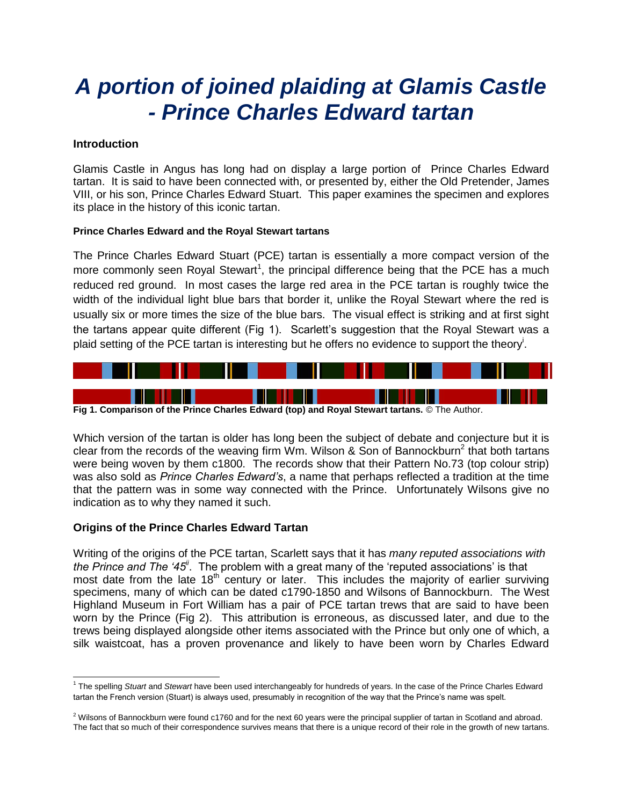# *A portion of joined plaiding at Glamis Castle - Prince Charles Edward tartan*

#### **Introduction**

Glamis Castle in Angus has long had on display a large portion of Prince Charles Edward tartan. It is said to have been connected with, or presented by, either the Old Pretender, James VIII, or his son, Prince Charles Edward Stuart. This paper examines the specimen and explores its place in the history of this iconic tartan.

#### **Prince Charles Edward and the Royal Stewart tartans**

The Prince Charles Edward Stuart (PCE) tartan is essentially a more compact version of the more commonly seen Royal Stewart<sup>1</sup>, the principal difference being that the PCE has a much reduced red ground. In most cases the large red area in the PCE tartan is roughly twice the width of the individual light blue bars that border it, unlike the Royal Stewart where the red is usually six or more times the size of the blue bars. The visual effect is striking and at first sight the tartans appear quite different (Fig 1). Scarlett's suggestion that the Royal Stewart was a plaid setting of the PCE tartan is interesting but he offers no evidence to support the theory<sup>i</sup>.



**Fig 1. Comparison of the Prince Charles Edward (top) and Royal Stewart tartans.** © The Author.

Which version of the tartan is older has long been the subject of debate and conjecture but it is clear from the records of the weaving firm Wm. Wilson & Son of Bannockburn<sup>2</sup> that both tartans were being woven by them c1800. The records show that their Pattern No.73 (top colour strip) was also sold as *Prince Charles Edward's*, a name that perhaps reflected a tradition at the time that the pattern was in some way connected with the Prince. Unfortunately Wilsons give no indication as to why they named it such.

### **Origins of the Prince Charles Edward Tartan**

Writing of the origins of the PCE tartan, Scarlett says that it has *many reputed associations with*  the Prince and The '45<sup>*i*'</sup>. The problem with a great many of the 'reputed associations' is that most date from the late 18<sup>th</sup> century or later. This includes the majority of earlier surviving specimens, many of which can be dated c1790-1850 and Wilsons of Bannockburn. The West Highland Museum in Fort William has a pair of PCE tartan trews that are said to have been worn by the Prince (Fig 2). This attribution is erroneous, as discussed later, and due to the trews being displayed alongside other items associated with the Prince but only one of which, a silk waistcoat, has a proven provenance and likely to have been worn by Charles Edward

l 1 The spelling *Stuart* and *Stewart* have been used interchangeably for hundreds of years. In the case of the Prince Charles Edward tartan the French version (Stuart) is always used, presumably in recognition of the way that the Prince's name was spelt.

 $2$  Wilsons of Bannockburn were found c1760 and for the next 60 years were the principal supplier of tartan in Scotland and abroad. The fact that so much of their correspondence survives means that there is a unique record of their role in the growth of new tartans.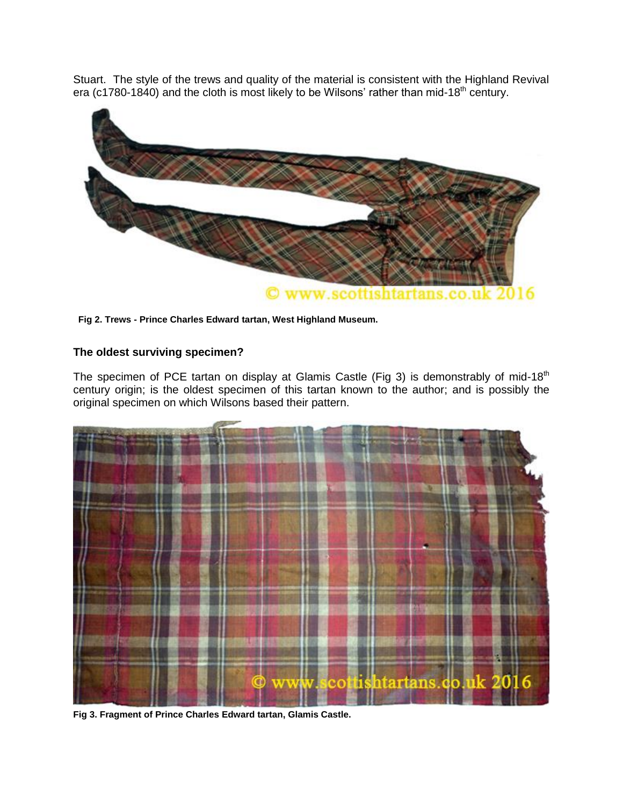Stuart. The style of the trews and quality of the material is consistent with the Highland Revival era (c1780-1840) and the cloth is most likely to be Wilsons' rather than mid-18<sup>th</sup> century.



**Fig 2. Trews - Prince Charles Edward tartan, West Highland Museum.** 

## **The oldest surviving specimen?**

The specimen of PCE tartan on display at Glamis Castle (Fig 3) is demonstrably of mid-18<sup>th</sup> century origin; is the oldest specimen of this tartan known to the author; and is possibly the original specimen on which Wilsons based their pattern.



**Fig 3. Fragment of Prince Charles Edward tartan, Glamis Castle.**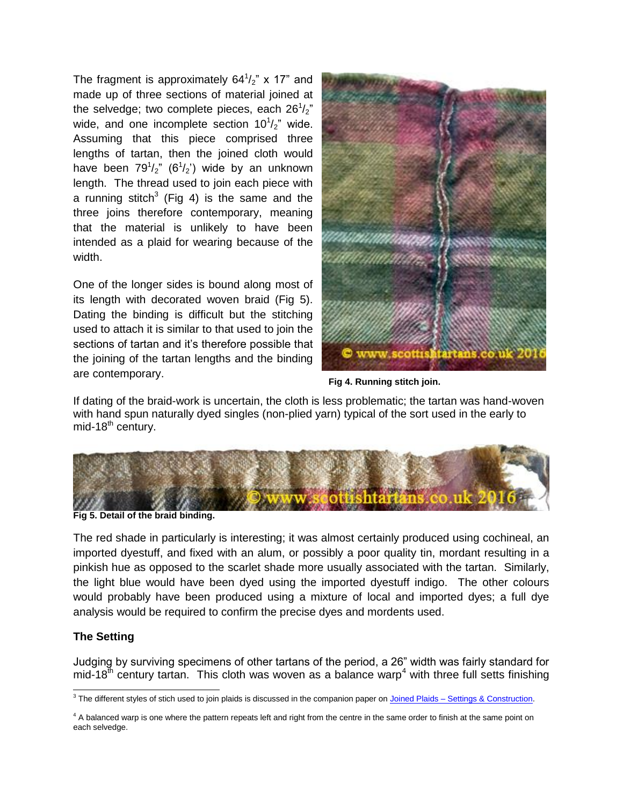The fragment is approximately  $64^{1}/_{2}$ " x 17" and made up of three sections of material joined at the selvedge; two complete pieces, each 26 $\frac{1}{2}$ " wide, and one incomplete section  $10^{1/2}$  wide. Assuming that this piece comprised three lengths of tartan, then the joined cloth would have been  $79^{1}/_{2}$ " (6 $^{1}/_{2}$ ") wide by an unknown length. The thread used to join each piece with a running stitch<sup>3</sup> (Fig 4) is the same and the three joins therefore contemporary, meaning that the material is unlikely to have been intended as a plaid for wearing because of the width.

One of the longer sides is bound along most of its length with decorated woven braid (Fig 5). Dating the binding is difficult but the stitching used to attach it is similar to that used to join the sections of tartan and it's therefore possible that the joining of the tartan lengths and the binding are contemporary.



**Fig 4. Running stitch join.** 

If dating of the braid-work is uncertain, the cloth is less problematic; the tartan was hand-woven with hand spun naturally dyed singles (non-plied yarn) typical of the sort used in the early to mid-18 $th$  century.



**Fig 5. Detail of the braid binding.** 

The red shade in particularly is interesting; it was almost certainly produced using cochineal, an imported dyestuff, and fixed with an alum, or possibly a poor quality tin, mordant resulting in a pinkish hue as opposed to the scarlet shade more usually associated with the tartan. Similarly, the light blue would have been dyed using the imported dyestuff indigo. The other colours would probably have been produced using a mixture of local and imported dyes; a full dye analysis would be required to confirm the precise dyes and mordents used.

## **The Setting**

Judging by surviving specimens of other tartans of the period, a 26" width was fairly standard for  $mid$ -18<sup>th</sup> century tartan. This cloth was woven as a balance warp<sup>4</sup> with three full setts finishing

<sup>&</sup>lt;sup>3</sup> The different styles of stich used to join plaids is discussed in the companion paper on <u>Joined Plaids – Settings & Construction</u>.

 $4$  A balanced warp is one where the pattern repeats left and right from the centre in the same order to finish at the same point on each selvedge.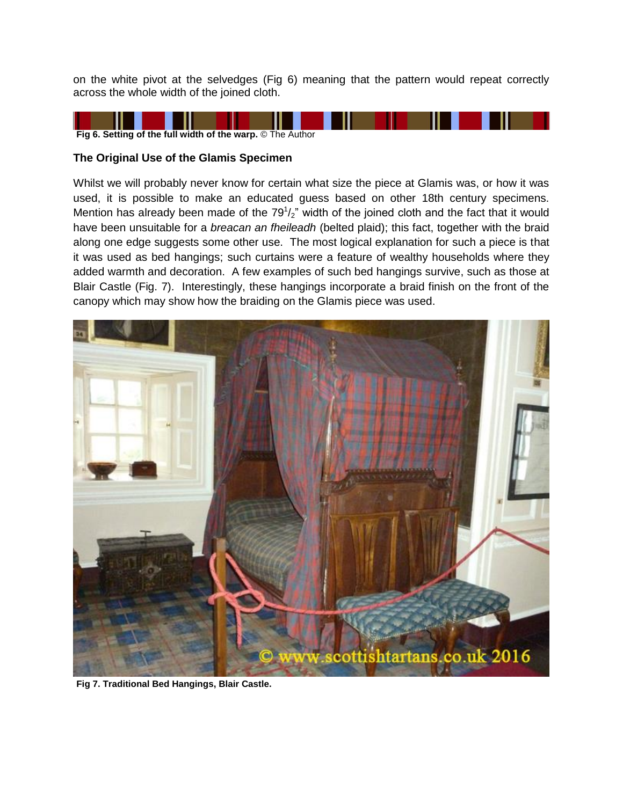on the white pivot at the selvedges (Fig 6) meaning that the pattern would repeat correctly across the whole width of the joined cloth.



#### **The Original Use of the Glamis Specimen**

Whilst we will probably never know for certain what size the piece at Glamis was, or how it was used, it is possible to make an educated guess based on other 18th century specimens. Mention has already been made of the  $79<sup>1</sup>/2$ " width of the joined cloth and the fact that it would have been unsuitable for a *breacan an fheileadh* (belted plaid); this fact, together with the braid along one edge suggests some other use. The most logical explanation for such a piece is that it was used as bed hangings; such curtains were a feature of wealthy households where they added warmth and decoration. A few examples of such bed hangings survive, such as those at Blair Castle (Fig. 7). Interestingly, these hangings incorporate a braid finish on the front of the canopy which may show how the braiding on the Glamis piece was used.



**Fig 7. Traditional Bed Hangings, Blair Castle.**